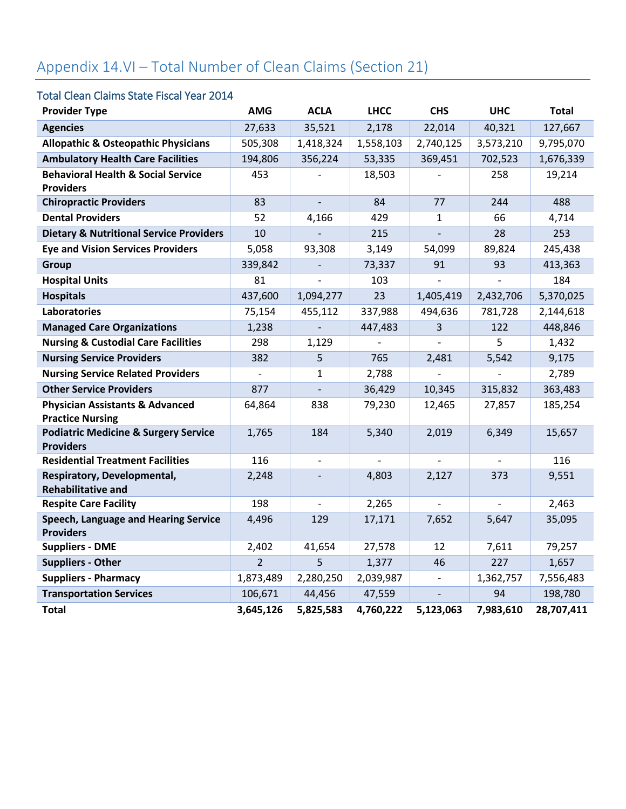# Appendix 14.VI – Total Number of Clean Claims (Section 21)

#### Total Clean Claims State Fiscal Year 2014

| <b>Provider Type</b>                                                | <b>AMG</b>     | <b>ACLA</b>              | <b>LHCC</b> | <b>CHS</b>               | <b>UHC</b> | <b>Total</b> |
|---------------------------------------------------------------------|----------------|--------------------------|-------------|--------------------------|------------|--------------|
| <b>Agencies</b>                                                     | 27,633         | 35,521                   | 2,178       | 22,014                   | 40,321     | 127,667      |
| <b>Allopathic &amp; Osteopathic Physicians</b>                      | 505,308        | 1,418,324                | 1,558,103   | 2,740,125                | 3,573,210  | 9,795,070    |
| <b>Ambulatory Health Care Facilities</b>                            | 194,806        | 356,224                  | 53,335      | 369,451                  | 702,523    | 1,676,339    |
| <b>Behavioral Health &amp; Social Service</b>                       | 453            |                          | 18,503      |                          | 258        | 19,214       |
| <b>Providers</b>                                                    |                |                          |             |                          |            |              |
| <b>Chiropractic Providers</b>                                       | 83             |                          | 84          | 77                       | 244        | 488          |
| <b>Dental Providers</b>                                             | 52             | 4,166                    | 429         | $\mathbf{1}$             | 66         | 4,714        |
| <b>Dietary &amp; Nutritional Service Providers</b>                  | 10             |                          | 215         |                          | 28         | 253          |
| <b>Eye and Vision Services Providers</b>                            | 5,058          | 93,308                   | 3,149       | 54,099                   | 89,824     | 245,438      |
| <b>Group</b>                                                        | 339,842        |                          | 73,337      | 91                       | 93         | 413,363      |
| <b>Hospital Units</b>                                               | 81             |                          | 103         |                          |            | 184          |
| <b>Hospitals</b>                                                    | 437,600        | 1,094,277                | 23          | 1,405,419                | 2,432,706  | 5,370,025    |
| Laboratories                                                        | 75,154         | 455,112                  | 337,988     | 494,636                  | 781,728    | 2,144,618    |
| <b>Managed Care Organizations</b>                                   | 1,238          |                          | 447,483     | 3                        | 122        | 448,846      |
| <b>Nursing &amp; Custodial Care Facilities</b>                      | 298            | 1,129                    |             |                          | 5          | 1,432        |
| <b>Nursing Service Providers</b>                                    | 382            | 5                        | 765         | 2,481                    | 5,542      | 9,175        |
| <b>Nursing Service Related Providers</b>                            | $\overline{a}$ | 1                        | 2,788       |                          |            | 2,789        |
| <b>Other Service Providers</b>                                      | 877            |                          | 36,429      | 10,345                   | 315,832    | 363,483      |
| <b>Physician Assistants &amp; Advanced</b>                          | 64,864         | 838                      | 79,230      | 12,465                   | 27,857     | 185,254      |
| <b>Practice Nursing</b>                                             |                |                          |             |                          |            |              |
| <b>Podiatric Medicine &amp; Surgery Service</b><br><b>Providers</b> | 1,765          | 184                      | 5,340       | 2,019                    | 6,349      | 15,657       |
| <b>Residential Treatment Facilities</b>                             | 116            | $\overline{\phantom{a}}$ |             |                          |            | 116          |
| Respiratory, Developmental,<br><b>Rehabilitative and</b>            | 2,248          |                          | 4,803       | 2,127                    | 373        | 9,551        |
| <b>Respite Care Facility</b>                                        | 198            |                          | 2,265       | $\frac{1}{2}$            |            | 2,463        |
| Speech, Language and Hearing Service                                | 4,496          | 129                      | 17,171      | 7,652                    | 5,647      | 35,095       |
| <b>Providers</b>                                                    |                |                          |             |                          |            |              |
| <b>Suppliers - DME</b>                                              | 2,402          | 41,654                   | 27,578      | 12                       | 7,611      | 79,257       |
| <b>Suppliers - Other</b>                                            | $\overline{2}$ | 5                        | 1,377       | 46                       | 227        | 1,657        |
| <b>Suppliers - Pharmacy</b>                                         | 1,873,489      | 2,280,250                | 2,039,987   | $\overline{\phantom{a}}$ | 1,362,757  | 7,556,483    |
| <b>Transportation Services</b>                                      | 106,671        | 44,456                   | 47,559      | $\overline{a}$           | 94         | 198,780      |
| <b>Total</b>                                                        | 3,645,126      | 5,825,583                | 4,760,222   | 5,123,063                | 7,983,610  | 28,707,411   |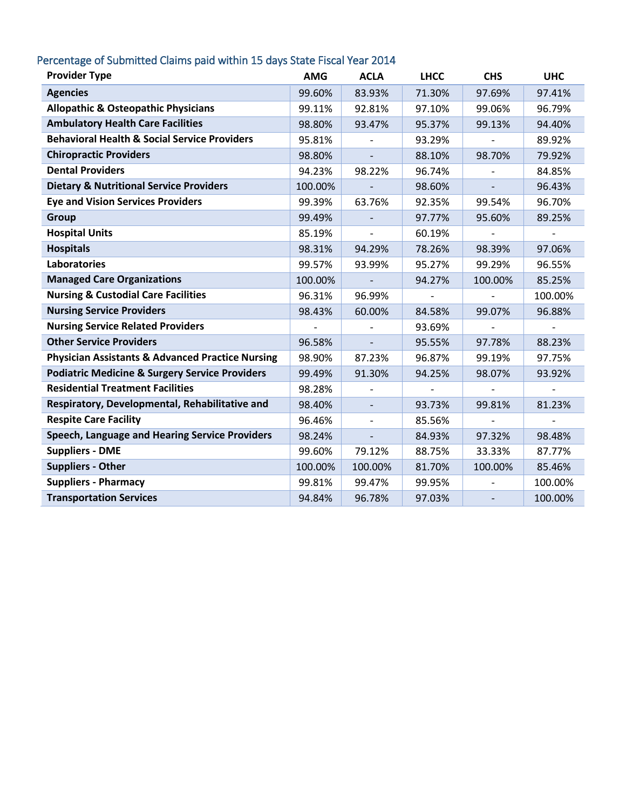### Percentage of Submitted Claims paid within 15 days State Fiscal Year 2014

| <b>Provider Type</b>                                        | <b>AMG</b> | <b>ACLA</b>    | <b>LHCC</b> | <b>CHS</b>               | <b>UHC</b> |
|-------------------------------------------------------------|------------|----------------|-------------|--------------------------|------------|
| <b>Agencies</b>                                             | 99.60%     | 83.93%         | 71.30%      | 97.69%                   | 97.41%     |
| <b>Allopathic &amp; Osteopathic Physicians</b>              | 99.11%     | 92.81%         | 97.10%      | 99.06%                   | 96.79%     |
| <b>Ambulatory Health Care Facilities</b>                    | 98.80%     | 93.47%         | 95.37%      | 99.13%                   | 94.40%     |
| <b>Behavioral Health &amp; Social Service Providers</b>     | 95.81%     |                | 93.29%      |                          | 89.92%     |
| <b>Chiropractic Providers</b>                               | 98.80%     |                | 88.10%      | 98.70%                   | 79.92%     |
| <b>Dental Providers</b>                                     | 94.23%     | 98.22%         | 96.74%      |                          | 84.85%     |
| <b>Dietary &amp; Nutritional Service Providers</b>          | 100.00%    |                | 98.60%      |                          | 96.43%     |
| <b>Eye and Vision Services Providers</b>                    | 99.39%     | 63.76%         | 92.35%      | 99.54%                   | 96.70%     |
| <b>Group</b>                                                | 99.49%     |                | 97.77%      | 95.60%                   | 89.25%     |
| <b>Hospital Units</b>                                       | 85.19%     |                | 60.19%      |                          |            |
| <b>Hospitals</b>                                            | 98.31%     | 94.29%         | 78.26%      | 98.39%                   | 97.06%     |
| <b>Laboratories</b>                                         | 99.57%     | 93.99%         | 95.27%      | 99.29%                   | 96.55%     |
| <b>Managed Care Organizations</b>                           | 100.00%    |                | 94.27%      | 100.00%                  | 85.25%     |
| <b>Nursing &amp; Custodial Care Facilities</b>              | 96.31%     | 96.99%         |             |                          | 100.00%    |
| <b>Nursing Service Providers</b>                            | 98.43%     | 60.00%         | 84.58%      | 99.07%                   | 96.88%     |
| <b>Nursing Service Related Providers</b>                    |            |                | 93.69%      |                          |            |
| <b>Other Service Providers</b>                              | 96.58%     |                | 95.55%      | 97.78%                   | 88.23%     |
| <b>Physician Assistants &amp; Advanced Practice Nursing</b> | 98.90%     | 87.23%         | 96.87%      | 99.19%                   | 97.75%     |
| <b>Podiatric Medicine &amp; Surgery Service Providers</b>   | 99.49%     | 91.30%         | 94.25%      | 98.07%                   | 93.92%     |
| <b>Residential Treatment Facilities</b>                     | 98.28%     |                |             |                          |            |
| Respiratory, Developmental, Rehabilitative and              | 98.40%     | $\blacksquare$ | 93.73%      | 99.81%                   | 81.23%     |
| <b>Respite Care Facility</b>                                | 96.46%     |                | 85.56%      |                          |            |
| Speech, Language and Hearing Service Providers              | 98.24%     |                | 84.93%      | 97.32%                   | 98.48%     |
| <b>Suppliers - DME</b>                                      | 99.60%     | 79.12%         | 88.75%      | 33.33%                   | 87.77%     |
| <b>Suppliers - Other</b>                                    | 100.00%    | 100.00%        | 81.70%      | 100.00%                  | 85.46%     |
| <b>Suppliers - Pharmacy</b>                                 | 99.81%     | 99.47%         | 99.95%      |                          | 100.00%    |
| <b>Transportation Services</b>                              | 94.84%     | 96.78%         | 97.03%      | $\overline{\phantom{a}}$ | 100.00%    |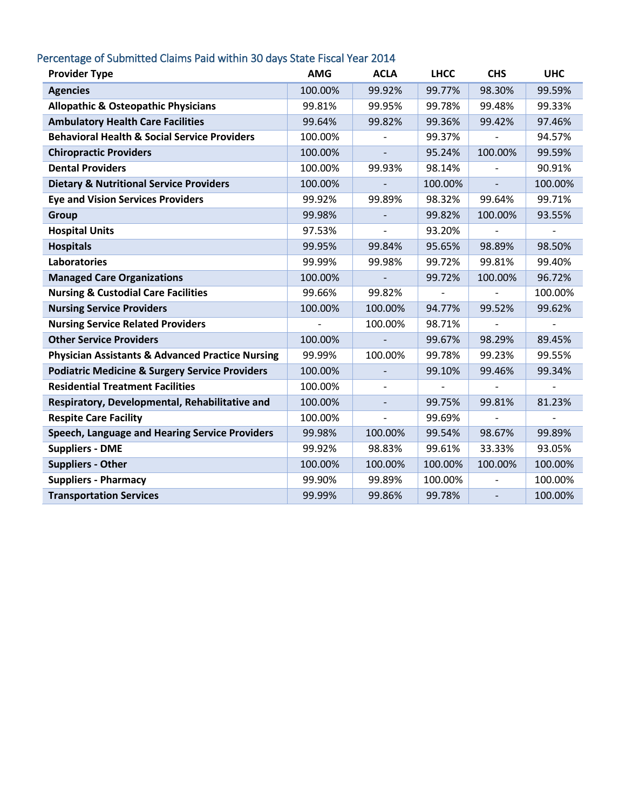### Percentage of Submitted Claims Paid within 30 days State Fiscal Year 2014

| <b>Provider Type</b>                                        | <b>AMG</b> | <b>ACLA</b>              | <b>LHCC</b> | <b>CHS</b>               | <b>UHC</b>               |
|-------------------------------------------------------------|------------|--------------------------|-------------|--------------------------|--------------------------|
| <b>Agencies</b>                                             | 100.00%    | 99.92%                   | 99.77%      | 98.30%                   | 99.59%                   |
| <b>Allopathic &amp; Osteopathic Physicians</b>              | 99.81%     | 99.95%                   | 99.78%      | 99.48%                   | 99.33%                   |
| <b>Ambulatory Health Care Facilities</b>                    | 99.64%     | 99.82%                   | 99.36%      | 99.42%                   | 97.46%                   |
| <b>Behavioral Health &amp; Social Service Providers</b>     | 100.00%    |                          | 99.37%      |                          | 94.57%                   |
| <b>Chiropractic Providers</b>                               | 100.00%    |                          | 95.24%      | 100.00%                  | 99.59%                   |
| <b>Dental Providers</b>                                     | 100.00%    | 99.93%                   | 98.14%      | $\blacksquare$           | 90.91%                   |
| <b>Dietary &amp; Nutritional Service Providers</b>          | 100.00%    |                          | 100.00%     | $\overline{\phantom{a}}$ | 100.00%                  |
| <b>Eye and Vision Services Providers</b>                    | 99.92%     | 99.89%                   | 98.32%      | 99.64%                   | 99.71%                   |
| <b>Group</b>                                                | 99.98%     | $\overline{\phantom{a}}$ | 99.82%      | 100.00%                  | 93.55%                   |
| <b>Hospital Units</b>                                       | 97.53%     |                          | 93.20%      |                          | $\overline{\phantom{a}}$ |
| <b>Hospitals</b>                                            | 99.95%     | 99.84%                   | 95.65%      | 98.89%                   | 98.50%                   |
| <b>Laboratories</b>                                         | 99.99%     | 99.98%                   | 99.72%      | 99.81%                   | 99.40%                   |
| <b>Managed Care Organizations</b>                           | 100.00%    |                          | 99.72%      | 100.00%                  | 96.72%                   |
| <b>Nursing &amp; Custodial Care Facilities</b>              | 99.66%     | 99.82%                   |             |                          | 100.00%                  |
| <b>Nursing Service Providers</b>                            | 100.00%    | 100.00%                  | 94.77%      | 99.52%                   | 99.62%                   |
| <b>Nursing Service Related Providers</b>                    |            | 100.00%                  | 98.71%      |                          | $\overline{\phantom{a}}$ |
| <b>Other Service Providers</b>                              | 100.00%    |                          | 99.67%      | 98.29%                   | 89.45%                   |
| <b>Physician Assistants &amp; Advanced Practice Nursing</b> | 99.99%     | 100.00%                  | 99.78%      | 99.23%                   | 99.55%                   |
| <b>Podiatric Medicine &amp; Surgery Service Providers</b>   | 100.00%    |                          | 99.10%      | 99.46%                   | 99.34%                   |
| <b>Residential Treatment Facilities</b>                     | 100.00%    |                          |             |                          |                          |
| Respiratory, Developmental, Rehabilitative and              | 100.00%    | $\frac{1}{2}$            | 99.75%      | 99.81%                   | 81.23%                   |
| <b>Respite Care Facility</b>                                | 100.00%    | $\overline{a}$           | 99.69%      |                          |                          |
| Speech, Language and Hearing Service Providers              | 99.98%     | 100.00%                  | 99.54%      | 98.67%                   | 99.89%                   |
| <b>Suppliers - DME</b>                                      | 99.92%     | 98.83%                   | 99.61%      | 33.33%                   | 93.05%                   |
| <b>Suppliers - Other</b>                                    | 100.00%    | 100.00%                  | 100.00%     | 100.00%                  | 100.00%                  |
| <b>Suppliers - Pharmacy</b>                                 | 99.90%     | 99.89%                   | 100.00%     |                          | 100.00%                  |
| <b>Transportation Services</b>                              | 99.99%     | 99.86%                   | 99.78%      | $\overline{\phantom{a}}$ | 100.00%                  |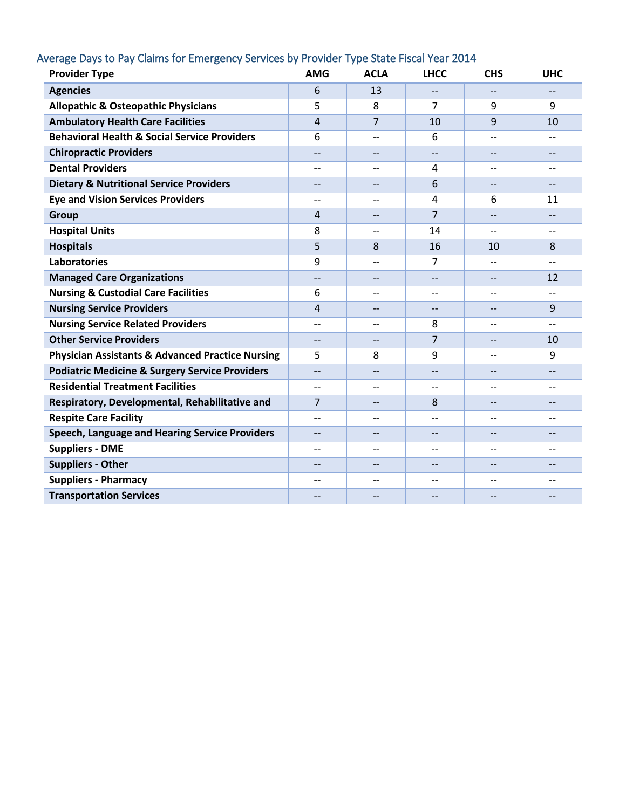# Average Days to Pay Claims for Emergency Services by Provider Type State Fiscal Year 2014

| <b>Provider Type</b>                                        | <b>AMG</b>        | <b>ACLA</b>              | <b>LHCC</b>    | <b>CHS</b>               | <b>UHC</b>               |
|-------------------------------------------------------------|-------------------|--------------------------|----------------|--------------------------|--------------------------|
| <b>Agencies</b>                                             | 6                 | 13                       | $-$            | $-$                      | $\qquad \qquad -$        |
| <b>Allopathic &amp; Osteopathic Physicians</b>              | 5                 | 8                        | 7              | 9                        | 9                        |
| <b>Ambulatory Health Care Facilities</b>                    | $\overline{4}$    | $\overline{7}$           | 10             | 9                        | 10                       |
| <b>Behavioral Health &amp; Social Service Providers</b>     | 6                 | $\overline{a}$           | 6              | $-$                      | $-$                      |
| <b>Chiropractic Providers</b>                               |                   |                          |                |                          |                          |
| <b>Dental Providers</b>                                     | $-$               | $\overline{\phantom{a}}$ | $\overline{4}$ | --                       | $\overline{\phantom{a}}$ |
| <b>Dietary &amp; Nutritional Service Providers</b>          | $-$               | $\overline{\phantom{a}}$ | 6              | $-$                      | $\overline{\phantom{a}}$ |
| <b>Eye and Vision Services Providers</b>                    | $-$               |                          | 4              | 6                        | 11                       |
| <b>Group</b>                                                | $\overline{4}$    | $-$                      | $\overline{7}$ | $\overline{\phantom{a}}$ | $\overline{\phantom{a}}$ |
| <b>Hospital Units</b>                                       | 8                 | $-$                      | 14             | --                       | --                       |
| <b>Hospitals</b>                                            | 5                 | 8                        | 16             | 10                       | 8                        |
| <b>Laboratories</b>                                         | 9                 |                          | 7              | $-$                      | $-$                      |
| <b>Managed Care Organizations</b>                           | $-$               | $\overline{\phantom{a}}$ | --             | --                       | 12                       |
| <b>Nursing &amp; Custodial Care Facilities</b>              | 6                 |                          | $-$            | $-$                      | $-$                      |
| <b>Nursing Service Providers</b>                            | $\overline{4}$    |                          |                | --                       | 9                        |
| <b>Nursing Service Related Providers</b>                    | $-$               | --                       | 8              | --                       | $-$                      |
| <b>Other Service Providers</b>                              | $\qquad \qquad -$ | --                       | 7              | --                       | 10                       |
| <b>Physician Assistants &amp; Advanced Practice Nursing</b> | 5                 | 8                        | 9              | --                       | 9                        |
| <b>Podiatric Medicine &amp; Surgery Service Providers</b>   |                   |                          | --             | --                       | $- \hspace{0.1cm} -$     |
| <b>Residential Treatment Facilities</b>                     | $-$               | $-$                      | --             | --                       | --                       |
| Respiratory, Developmental, Rehabilitative and              | $\overline{7}$    |                          | 8              | --                       | --                       |
| <b>Respite Care Facility</b>                                |                   |                          | $-$            | $-$                      | $-$                      |
| Speech, Language and Hearing Service Providers              | $\qquad \qquad -$ | $\overline{\phantom{a}}$ | $-$            | --                       | $\qquad \qquad -$        |
| <b>Suppliers - DME</b>                                      |                   |                          | $-$            | --                       | $-$                      |
| <b>Suppliers - Other</b>                                    |                   |                          |                |                          | --                       |
| <b>Suppliers - Pharmacy</b>                                 | $-$               | $\overline{\phantom{a}}$ | $-$            | --                       | $\qquad \qquad -$        |
| <b>Transportation Services</b>                              |                   |                          |                |                          |                          |